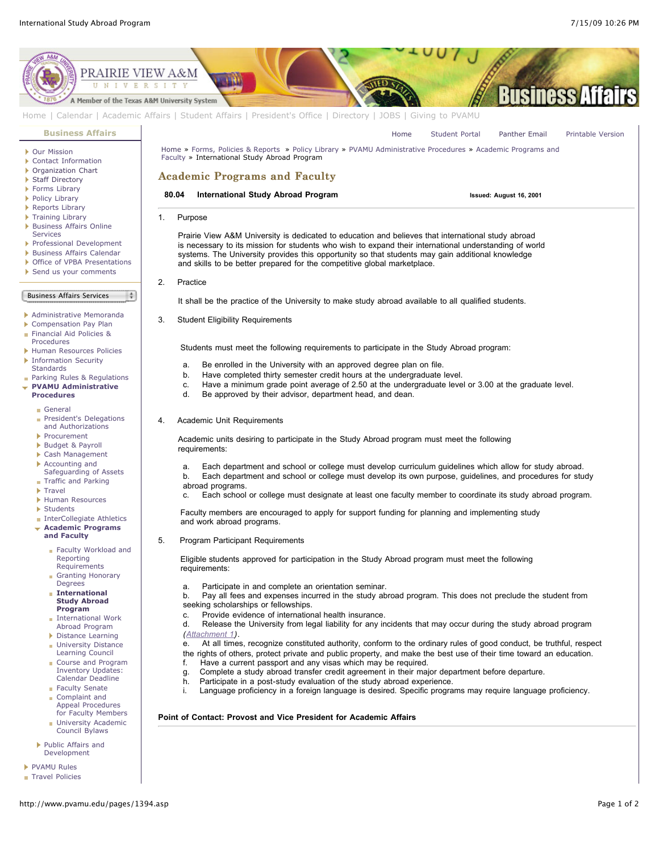